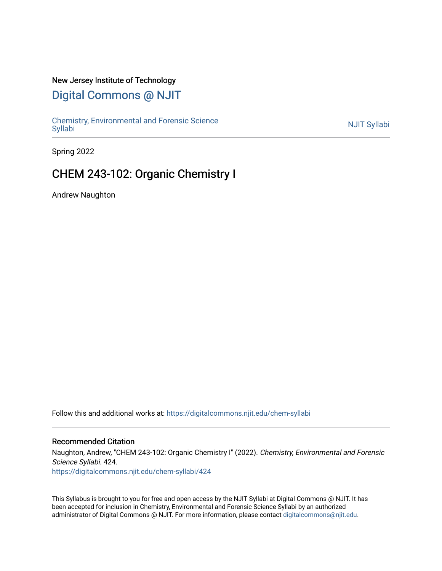#### New Jersey Institute of Technology

# [Digital Commons @ NJIT](https://digitalcommons.njit.edu/)

Chemistry, Environmental and Forensic Science<br>Syllabi

Spring 2022

# CHEM 243-102: Organic Chemistry I

Andrew Naughton

Follow this and additional works at: [https://digitalcommons.njit.edu/chem-syllabi](https://digitalcommons.njit.edu/chem-syllabi?utm_source=digitalcommons.njit.edu%2Fchem-syllabi%2F424&utm_medium=PDF&utm_campaign=PDFCoverPages) 

#### Recommended Citation

Naughton, Andrew, "CHEM 243-102: Organic Chemistry I" (2022). Chemistry, Environmental and Forensic Science Syllabi. 424. [https://digitalcommons.njit.edu/chem-syllabi/424](https://digitalcommons.njit.edu/chem-syllabi/424?utm_source=digitalcommons.njit.edu%2Fchem-syllabi%2F424&utm_medium=PDF&utm_campaign=PDFCoverPages) 

This Syllabus is brought to you for free and open access by the NJIT Syllabi at Digital Commons @ NJIT. It has been accepted for inclusion in Chemistry, Environmental and Forensic Science Syllabi by an authorized administrator of Digital Commons @ NJIT. For more information, please contact [digitalcommons@njit.edu.](mailto:digitalcommons@njit.edu)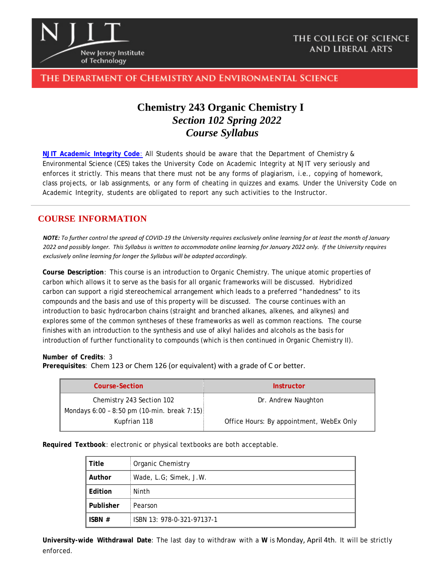

### The Department of Chemistry and Environmental Science

# **Chemistry 243 Organic Chemistry I** *Section 102 Spring 2022 Course Syllabus*

**NJIT [Academic](https://www.njit.edu/policies/sites/policies/files/academic-integrity-code.pdf) Integrity Code**: All Students should be aware that the Department of Chemistry & Environmental Science (CES) takes the University Code on Academic Integrity at NJIT very seriously and enforces it strictly. This means that there must not be any forms of plagiarism, i.e., copying of homework, class projects, or lab assignments, or any form of cheating in quizzes and exams. Under the University Code on Academic Integrity, students are obligated to report any such activities to the Instructor.

### **COURSE INFORMATION**

*NOTE: To further control the spread of COVID-19 the University requires exclusively online learning for at least the month of January 2022 and possibly longer. This Syllabus is written to accommodate online learning for January 2022 only. If the University requires exclusively online learning for longer the Syllabus will be adapted accordingly.*

**Course Description**: This course is an introduction to Organic Chemistry. The unique atomic properties of carbon which allows it to serve as the basis for all organic frameworks will be discussed. Hybridized carbon can support a rigid stereochemical arrangement which leads to a preferred "handedness" to its compounds and the basis and use of this property will be discussed. The course continues with an introduction to basic hydrocarbon chains (straight and branched alkanes, alkenes, and alkynes) and explores some of the common syntheses of these frameworks as well as common reactions. The course finishes with an introduction to the synthesis and use of alkyl halides and alcohols as the basis for introduction of further functionality to compounds (which is then continued in Organic Chemistry II).

#### **Number of Credits**: 3

**Prerequisites**: Chem 123 or Chem 126 (or equivalent) with a grade of C or better.

| <b>Course-Section</b>                         | <b>Instructor</b>                        |
|-----------------------------------------------|------------------------------------------|
| Chemistry 243 Section 102                     | Dr. Andrew Naughton                      |
| Mondays $6:00 - 8:50$ pm (10-min. break 7:15) |                                          |
| Kupfrian 118                                  | Office Hours: By appointment, WebEx Only |

**Required Textbook**: electronic or physical textbooks are both acceptable.

| Title     | Organic Chemistry          |  |
|-----------|----------------------------|--|
| Author    | Wade, L.G; Simek, J.W.     |  |
| Edition   | Ninth                      |  |
| Publisher | Pearson                    |  |
| ISBN $#$  | ISBN 13: 978-0-321-97137-1 |  |

**University-wide Withdrawal Date**: The last day to withdraw with a **W** is Monday, April 4th. It will be strictly enforced.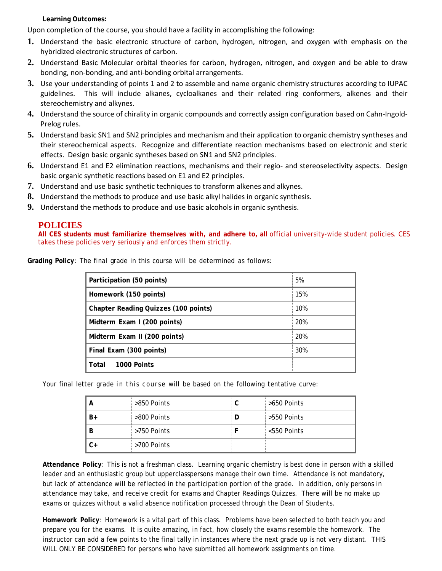**Learning Outcomes:**

Upon completion of the course, you should have a facility in accomplishing the following:

- **1.** Understand the basic electronic structure of carbon, hydrogen, nitrogen, and oxygen with emphasis on the hybridized electronic structures of carbon.
- **2.** Understand Basic Molecular orbital theories for carbon, hydrogen, nitrogen, and oxygen and be able to draw bonding, non-bonding, and anti-bonding orbital arrangements.
- **3.** Use your understanding of points 1 and 2 to assemble and name organic chemistry structures according to IUPAC guidelines. This will include alkanes, cycloalkanes and their related ring conformers, alkenes and their stereochemistry and alkynes.
- **4.** Understand the source of chirality in organic compounds and correctly assign configuration based on Cahn-Ingold-Prelog rules.
- **5.** Understand basic SN1 and SN2 principles and mechanism and their application to organic chemistry syntheses and their stereochemical aspects. Recognize and differentiate reaction mechanisms based on electronic and steric effects. Design basic organic syntheses based on SN1 and SN2 principles.
- **6.** Understand E1 and E2 elimination reactions, mechanisms and their regio- and stereoselectivity aspects. Design basic organic synthetic reactions based on E1 and E2 principles.
- **7.** Understand and use basic synthetic techniques to transform alkenes and alkynes.
- **8.** Understand the methods to produce and use basic alkyl halides in organic synthesis.
- **9.** Understand the methods to produce and use basic alcohols in organic synthesis.

#### **POLICIES**

**All CES students must familiarize themselves with, and adhere to, all** official university-wide student policies. CES takes these policies very seriously and enforces them strictly.

| Grading Policy: The final grade in this course will be determined as follows: |  |
|-------------------------------------------------------------------------------|--|
|-------------------------------------------------------------------------------|--|

| Participation (50 points)                   | 5%  |
|---------------------------------------------|-----|
| Homework (150 points)                       | 15% |
| <b>Chapter Reading Quizzes (100 points)</b> | 10% |
| Midterm Exam I (200 points)                 | 20% |
| Midterm Exam II (200 points)                | 20% |
| Final Exam (300 points)                     | 30% |
| Total<br>1000 Points                        |     |

Your final letter grade in this course will be based on the following tentative curve:

|    | >850 Points | >650 Points |
|----|-------------|-------------|
| B+ | >800 Points | >550 Points |
| B  | >750 Points | <550 Points |
| C+ | >700 Points |             |

**Attendance Policy**: This is not a freshman class. Learning organic chemistry is best done in person with a skilled leader and an enthusiastic group but upperclasspersons manage their own time. Attendance is not mandatory, but lack of attendance will be reflected in the participation portion of the grade. In addition, only persons in attendance may take, and receive credit for exams and Chapter Readings Quizzes. There will be no make up exams or quizzes without a valid absence notification processed through the Dean of Students.

**Homework Policy**: Homework is a vital part of this class. Problems have been selected to both teach you and prepare you for the exams. It is quite amazing, in fact, how closely the exams resemble the homework. The instructor can add a few points to the final tally in instances where the next grade up is not very distant. THIS WILL ONLY BE CONSIDERED for persons who have submitted all homework assignments on time.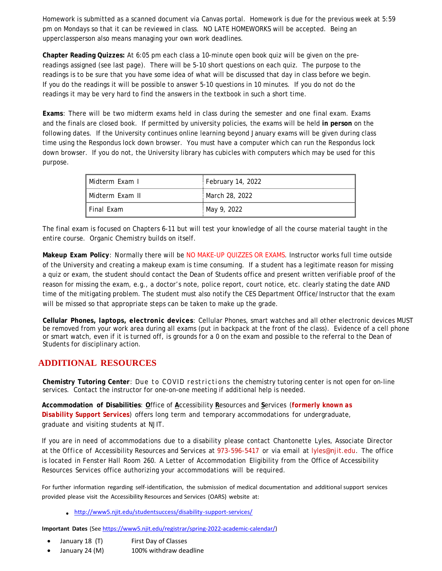Homework is submitted as a scanned document via Canvas portal. Homework is due for the previous week at 5:59 pm on Mondays so that it can be reviewed in class. NO LATE HOMEWORKS will be accepted. Being an upperclassperson also means managing your own work deadlines.

**Chapter Reading Quizzes:** At 6:05 pm each class a 10-minute open book quiz will be given on the prereadings assigned (see last page). There will be 5-10 short questions on each quiz. The purpose to the readings is to be sure that you have some idea of what will be discussed that day in class before we begin. If you do the readings it will be possible to answer 5-10 questions in 10 minutes. If you do not do the readings it may be very hard to find the answers in the textbook in such a short time.

**Exams**: There will be two midterm exams held in class during the semester and one final exam. Exams and the finals are closed book. If permitted by university policies, the exams will be held **in person** on the following dates. If the University continues online learning beyond January exams will be given during class time using the Respondus lock down browser. You must have a computer which can run the Respondus lock down browser. If you do not, the University library has cubicles with computers which may be used for this purpose.

| l Midterm Exam I  | February 14, 2022 |
|-------------------|-------------------|
| l Midterm Exam II | March 28, 2022    |
| l Final Exam      | May 9, 2022       |

The final exam is focused on Chapters 6-11 but will test your knowledge of all the course material taught in the entire course. Organic Chemistry builds on itself.

**Makeup Exam Policy**: Normally there will be NO MAKE-UP QUIZZES OR EXAMS. Instructor works full time outside of the University and creating a makeup exam is time consuming. If a student has a legitimate reason for missing a quiz or exam, the student should contact the Dean of Students office and present written verifiable proof of the reason for missing the exam, e.g., a doctor's note, police report, court notice, etc. clearly stating the date AND time of the mitigating problem. The student must also notify the CES Department Office/Instructor that the exam will be missed so that appropriate steps can be taken to make up the grade.

**Cellular Phones, laptops, electronic devices**: Cellular Phones, smart watches and all other electronic devices MUST be removed from your work area during all exams (put in backpack at the front of the class). Evidence of a cell phone or smart watch, even if it is turned off, is grounds for a 0 on the exam and possible to the referral to the Dean of Students for disciplinary action.

## **ADDITIONAL RESOURCES**

**Chemistry Tutoring Center**: Due to COVID restrictions the chemistry tutoring center is not open for on-line services. Contact the instructor for one-on-one meeting if additional help is needed.

**Accommodation of Disabilities**: **O**ffice of **A**ccessibility **R**esources and **S**ervices (*formerly known as Disability Support Services*) offers long term and temporary accommodations for undergraduate, graduate and visiting students at NJIT.

If you are in need of accommodations due to a disability please contact Chantonette Lyles, Associate Director at the Office of Accessibility Resources and Services at 973-596-5417 or via email at [lyles@njit.edu.](mailto:lyles@njit.edu) The office is located in Fenster Hall Room 260. A Letter of Accommodation Eligibility from the Office of Accessibility Resources Services office authorizing your accommodations will be required.

For further information regarding self-identification, the submission of medical documentation and additional support services provided please visit the Accessibility Resources and Services (OARS) website at:

[http://www5.njit.edu/studentsuccess/disability-support-services/](http://www.njit.edu/studentsuccess/accessibility/)

**Important Dates** (See [https://www5.njit.edu/registrar/spring-2022-academic-calendar/\)](https://www5.njit.edu/registrar/spring-2022-academic-calendar/)

- January 18 (T) First Day of Classes
- January 24 (M) 100% withdraw deadline